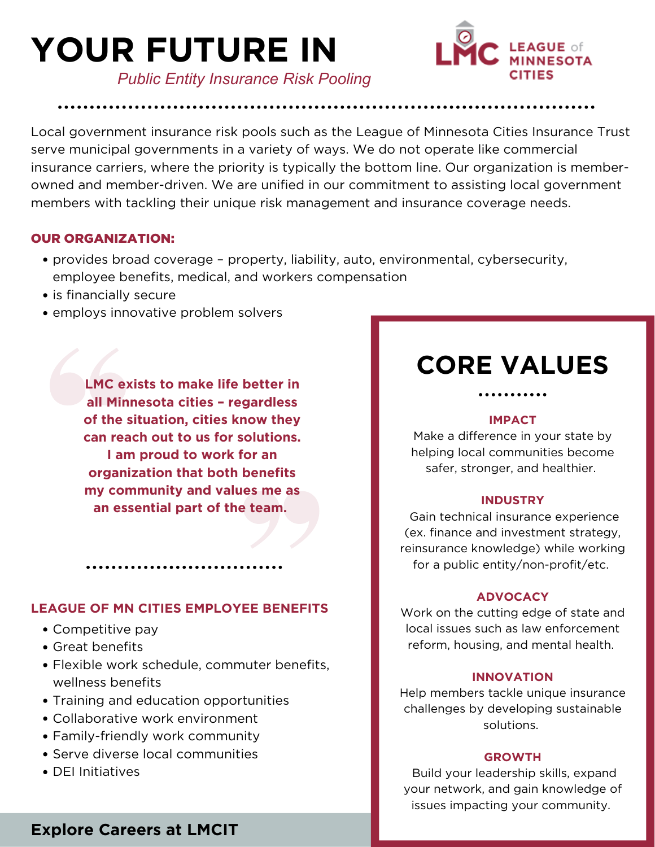# **YOUR FUTURE IN**



*Public Entity Insurance Risk Pooling*

Local government insurance risk pools such as the League of Minnesota Cities Insurance Trust serve municipal governments in a variety of ways. We do not operate like commercial insurance carriers, where the priority is typically the bottom line. Our organization is member owned and member-driven. We are unified in our commitment to assisting local government members with tackling their unique risk management and insurance coverage needs.

### OUR ORGANIZATION:

- provides broad coverage property, liability, auto, environmental, cybersecurity, employee benefits, medical, and workers compensation
- is financially secure
- employs innovative problem solvers

**LMC exists to make life better in all Minnesota cities – regardless of the situation, cities know they can reach out to us for solutions. I am proud to work for an organization that both benefits my community and values me as an essential part of the team.**

### **LEAGUE OF MN CITIES EMPLOYEE BENEFITS**

- Competitive pay
- Great benefits
- Flexible work schedule, commuter benefits, wellness benefits
- Training and education opportunities
- Collaborative work environment
- Family-friendly work community
- Serve diverse local communities
- DEI Initiatives

## **CORE VALUES**

### **IMPACT**

. . . . . . . . . . .

Make a difference in your state by helping local communities become safer, stronger, and healthier.

### **INDUSTRY**

Gain technical insurance experience (ex. finance and investment strategy, reinsurance knowledge) while working for a public entity/non-profit/etc.

### **ADVOCACY**

Work on the cutting edge of state and local issues such as law enforcement reform, housing, and mental health.

### **INNOVATION**

Help members tackle unique insurance challenges by developing sustainable solutions.

### **GROWTH**

Build your leadership skills, expand your network, and gain knowledge of issues impacting your community.

### **Explore Careers at LMCIT**